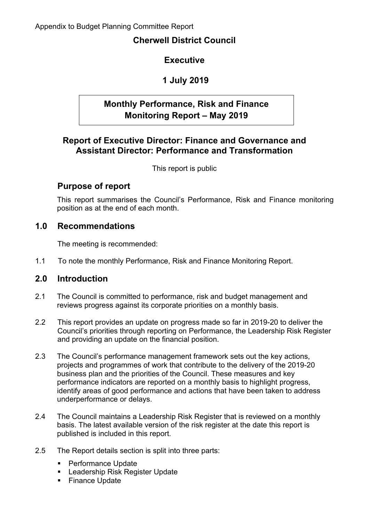# **Cherwell District Council**

# **Executive**

# **1 July 2019**

# **Monthly Performance, Risk and Finance Monitoring Report – May 2019**

# **Report of Executive Director: Finance and Governance and Assistant Director: Performance and Transformation**

This report is public

### **Purpose of report**

This report summarises the Council's Performance, Risk and Finance monitoring position as at the end of each month.

### **1.0 Recommendations**

The meeting is recommended:

1.1 To note the monthly Performance, Risk and Finance Monitoring Report.

### **2.0 Introduction**

- 2.1 The Council is committed to performance, risk and budget management and reviews progress against its corporate priorities on a monthly basis.
- 2.2 This report provides an update on progress made so far in 2019-20 to deliver the Council's priorities through reporting on Performance, the Leadership Risk Register and providing an update on the financial position.
- 2.3 The Council's performance management framework sets out the key actions, projects and programmes of work that contribute to the delivery of the 2019-20 business plan and the priorities of the Council. These measures and key performance indicators are reported on a monthly basis to highlight progress, identify areas of good performance and actions that have been taken to address underperformance or delays.
- 2.4 The Council maintains a Leadership Risk Register that is reviewed on a monthly basis. The latest available version of the risk register at the date this report is published is included in this report.
- 2.5 The Report details section is split into three parts:
	- **Performance Update**
	- **Leadership Risk Register Update**
	- **Finance Update**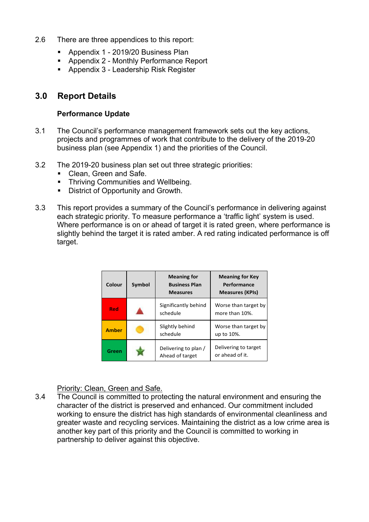- 2.6 There are three appendices to this report:
	- **Appendix 1 2019/20 Business Plan**
	- Appendix 2 Monthly Performance Report
	- **Appendix 3 Leadership Risk Register**

# **3.0 Report Details**

#### **Performance Update**

- 3.1 The Council's performance management framework sets out the key actions, projects and programmes of work that contribute to the delivery of the 2019-20 business plan (see Appendix 1) and the priorities of the Council.
- 3.2 The 2019-20 business plan set out three strategic priorities:
	- Clean, Green and Safe.
	- **Thriving Communities and Wellbeing.**
	- District of Opportunity and Growth.
- 3.3 This report provides a summary of the Council's performance in delivering against each strategic priority. To measure performance a 'traffic light' system is used. Where performance is on or ahead of target it is rated green, where performance is slightly behind the target it is rated amber. A red rating indicated performance is off target.

| Colour       | <b>Symbol</b> | <b>Meaning for</b><br><b>Business Plan</b><br><b>Measures</b> | <b>Meaning for Key</b><br>Performance<br><b>Measures (KPIs)</b> |
|--------------|---------------|---------------------------------------------------------------|-----------------------------------------------------------------|
| Red          |               | Significantly behind<br>schedule                              | Worse than target by<br>more than 10%.                          |
| <b>Amber</b> |               | Slightly behind<br>schedule                                   | Worse than target by<br>up to 10%.                              |
| Green        |               | Delivering to plan /<br>Ahead of target                       | Delivering to target<br>or ahead of it.                         |

Priority: Clean, Green and Safe.

3.4 The Council is committed to protecting the natural environment and ensuring the character of the district is preserved and enhanced. Our commitment included working to ensure the district has high standards of environmental cleanliness and greater waste and recycling services. Maintaining the district as a low crime area is another key part of this priority and the Council is committed to working in partnership to deliver against this objective.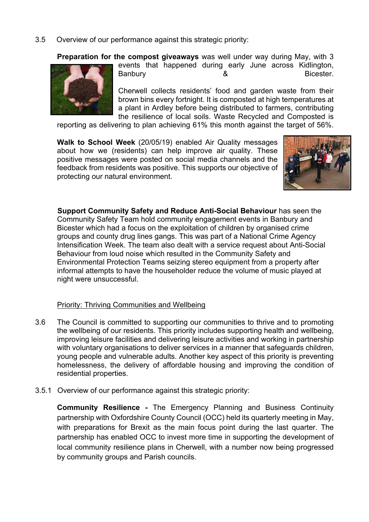3.5 Overview of our performance against this strategic priority:

**Preparation for the compost giveaways** was well under way during May, with 3



events that happened during early June across Kidlington, Banbury **8** 8 Bicester.

Cherwell collects residents' food and garden waste from their brown bins every fortnight. It is composted at high temperatures at a plant in Ardley before being distributed to farmers, contributing the resilience of local soils. Waste Recycled and Composted is

reporting as delivering to plan achieving 61% this month against the target of 56%.

**Walk to School Week** (20/05/19) enabled Air Quality messages about how we (residents) can help improve air quality. These positive messages were posted on social media channels and the feedback from residents was positive. This supports our objective of protecting our natural environment.



**Support Community Safety and Reduce Anti-Social Behaviour** has seen the Community Safety Team hold community engagement events in Banbury and Bicester which had a focus on the exploitation of children by organised crime groups and county drug lines gangs. This was part of a National Crime Agency Intensification Week. The team also dealt with a service request about Anti-Social Behaviour from loud noise which resulted in the Community Safety and Environmental Protection Teams seizing stereo equipment from a property after informal attempts to have the householder reduce the volume of music played at night were unsuccessful.

#### Priority: Thriving Communities and Wellbeing

- 3.6 The Council is committed to supporting our communities to thrive and to promoting the wellbeing of our residents. This priority includes supporting health and wellbeing, improving leisure facilities and delivering leisure activities and working in partnership with voluntary organisations to deliver services in a manner that safeguards children, young people and vulnerable adults. Another key aspect of this priority is preventing homelessness, the delivery of affordable housing and improving the condition of residential properties.
- 3.5.1 Overview of our performance against this strategic priority:

**Community Resilience -** The Emergency Planning and Business Continuity partnership with Oxfordshire County Council (OCC) held its quarterly meeting in May, with preparations for Brexit as the main focus point during the last quarter. The partnership has enabled OCC to invest more time in supporting the development of local community resilience plans in Cherwell, with a number now being progressed by community groups and Parish councils.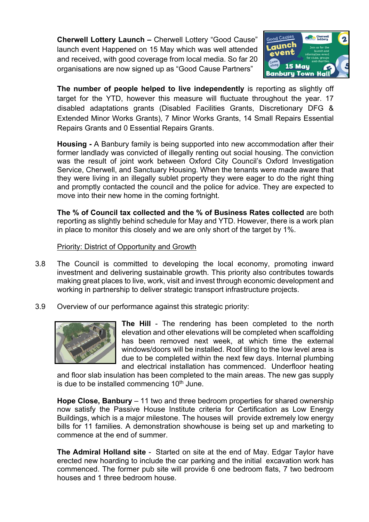**Cherwell Lottery Launch –** Cherwell Lottery "Good Cause" launch event Happened on 15 May which was well attended and received, with good coverage from local media. So far 20 organisations are now signed up as "Good Cause Partners"



**The number of people helped to live independently** is reporting as slightly off target for the YTD, however this measure will fluctuate throughout the year. 17 disabled adaptations grants (Disabled Facilities Grants, Discretionary DFG & Extended Minor Works Grants), 7 Minor Works Grants, 14 Small Repairs Essential Repairs Grants and 0 Essential Repairs Grants.

**Housing -** A Banbury family is being supported into new accommodation after their former landlady was convicted of illegally renting out social housing. The conviction was the result of joint work between Oxford City Council's Oxford Investigation Service, Cherwell, and Sanctuary Housing. When the tenants were made aware that they were living in an illegally sublet property they were eager to do the right thing and promptly contacted the council and the police for advice. They are expected to move into their new home in the coming fortnight.

**The % of Council tax collected and the % of Business Rates collected** are both reporting as slightly behind schedule for May and YTD. However, there is a work plan in place to monitor this closely and we are only short of the target by 1%.

Priority: District of Opportunity and Growth

- 3.8 The Council is committed to developing the local economy, promoting inward investment and delivering sustainable growth. This priority also contributes towards making great places to live, work, visit and invest through economic development and working in partnership to deliver strategic transport infrastructure projects.
- 3.9 Overview of our performance against this strategic priority:



**The Hill** - The rendering has been completed to the north elevation and other elevations will be completed when scaffolding has been removed next week, at which time the external windows/doors will be installed. Roof tiling to the low level area is due to be completed within the next few days. Internal plumbing and electrical installation has commenced. Underfloor heating

and floor slab insulation has been completed to the main areas. The new gas supply is due to be installed commencing  $10<sup>th</sup>$  June.

**Hope Close, Banbury** – 11 two and three bedroom properties for shared ownership now satisfy the Passive House Institute criteria for Certification as Low Energy Buildings, which is a major milestone. The houses will provide extremely low energy bills for 11 families. A demonstration showhouse is being set up and marketing to commence at the end of summer.

**The Admiral Holland site** - Started on site at the end of May. Edgar Taylor have erected new hoarding to include the car parking and the initial excavation work has commenced. The former pub site will provide 6 one bedroom flats, 7 two bedroom houses and 1 three bedroom house.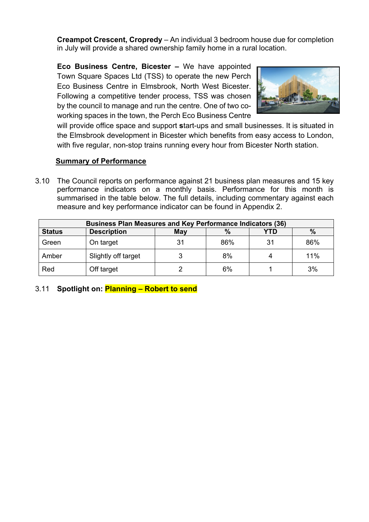**Creampot Crescent, Cropredy** – An individual 3 bedroom house due for completion in July will provide a shared ownership family home in a rural location.

**Eco Business Centre, Bicester –** We have appointed Town Square Spaces Ltd (TSS) to operate the new Perch Eco Business Centre in Elmsbrook, North West Bicester. Following a competitive tender process, TSS was chosen by the council to manage and run the centre. One of two coworking spaces in the town, the Perch Eco Business Centre



will provide office space and support **s**tart-ups and small businesses. It is situated in the Elmsbrook development in Bicester which benefits from easy access to London, with five regular, non-stop trains running every hour from Bicester North station.

### **Summary of Performance**

3.10 The Council reports on performance against 21 business plan measures and 15 key performance indicators on a monthly basis. Performance for this month is summarised in the table below. The full details, including commentary against each measure and key performance indicator can be found in Appendix 2.

| <b>Business Plan Measures and Key Performance Indicators (36)</b> |                     |    |     |    |     |  |  |  |
|-------------------------------------------------------------------|---------------------|----|-----|----|-----|--|--|--|
| YTD<br>%<br><b>Description</b><br>May<br><b>Status</b><br>$\%$    |                     |    |     |    |     |  |  |  |
| Green                                                             | On target           | 31 | 86% | 31 | 86% |  |  |  |
| Amber                                                             | Slightly off target |    | 8%  |    | 11% |  |  |  |
| Red                                                               | Off target          |    | 6%  |    | 3%  |  |  |  |

### 3.11 **Spotlight on: Planning – Robert to send**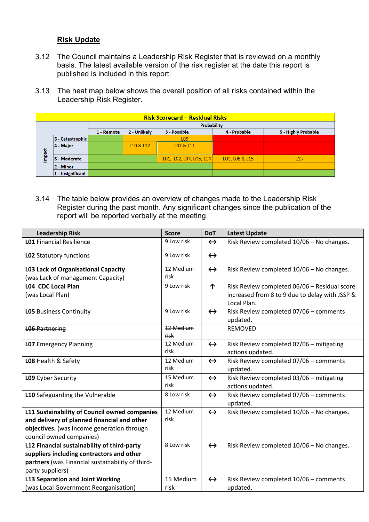### **Risk Update**

- 3.12 The Council maintains a Leadership Risk Register that is reviewed on a monthly basis. The latest available version of the risk register at the date this report is published is included in this report.
- 3.13 The heat map below shows the overall position of all risks contained within the Leadership Risk Register.

|       | <b>Risk Scorecard - Residual Risks</b> |                                                                                   |           |                         |                |     |  |  |
|-------|----------------------------------------|-----------------------------------------------------------------------------------|-----------|-------------------------|----------------|-----|--|--|
|       |                                        | Probability                                                                       |           |                         |                |     |  |  |
|       |                                        | 2 - Unlikely<br>4 - Probable<br>5 - Highly Probable<br>3 - Possible<br>1 - Remote |           |                         |                |     |  |  |
|       | 5 - Catastrophic                       |                                                                                   |           | L <sub>09</sub>         |                |     |  |  |
|       | 4 - Major                              |                                                                                   | L10 & L12 | LO7 & L11               |                |     |  |  |
| mpact | 3 - Moderate                           |                                                                                   |           | L01, L02, L04, L05, L14 | LO3, LO8 & L15 | L13 |  |  |
|       | 2 - Minor                              |                                                                                   |           |                         |                |     |  |  |
|       | 1 - Insignificant                      |                                                                                   |           |                         |                |     |  |  |

3.14 The table below provides an overview of changes made to the Leadership Risk Register during the past month. Any significant changes since the publication of the report will be reported verbally at the meeting.

| <b>Leadership Risk</b>                           | <b>Score</b>      | <b>DoT</b>        | <b>Latest Update</b>                                          |
|--------------------------------------------------|-------------------|-------------------|---------------------------------------------------------------|
| <b>L01</b> Financial Resilience                  | 9 Low risk        | $\leftrightarrow$ | Risk Review completed 10/06 - No changes.                     |
| LO2 Statutory functions                          | 9 Low risk        | $\leftrightarrow$ |                                                               |
| <b>L03 Lack of Organisational Capacity</b>       | 12 Medium         | $\leftrightarrow$ | Risk Review completed 10/06 - No changes.                     |
| (was Lack of management Capacity)                | risk              |                   |                                                               |
| <b>L04 CDC Local Plan</b>                        | 9 Low risk        | $\uparrow$        | Risk Review completed 06/06 - Residual score                  |
| (was Local Plan)                                 |                   |                   | increased from 8 to 9 due to delay with JSSP &<br>Local Plan. |
| <b>LO5</b> Business Continuity                   | 9 Low risk        | $\leftrightarrow$ | Risk Review completed 07/06 - comments<br>updated.            |
| <b>L06 Partnering</b>                            | 12 Medium<br>risk |                   | <b>REMOVED</b>                                                |
| <b>LO7</b> Emergency Planning                    | 12 Medium<br>risk | $\leftrightarrow$ | Risk Review completed 07/06 - mitigating<br>actions updated.  |
| LO8 Health & Safety                              | 12 Medium<br>risk | $\leftrightarrow$ | Risk Review completed 07/06 - comments<br>updated.            |
| L09 Cyber Security                               | 15 Medium<br>risk | $\leftrightarrow$ | Risk Review completed 03/06 - mitigating<br>actions updated.  |
| L10 Safeguarding the Vulnerable                  | 8 Low risk        | $\leftrightarrow$ | Risk Review completed 07/06 - comments<br>updated.            |
| L11 Sustainability of Council owned companies    | 12 Medium         | $\leftrightarrow$ | Risk Review completed 10/06 - No changes.                     |
| and delivery of planned financial and other      | risk              |                   |                                                               |
| objectives. (was Income generation through       |                   |                   |                                                               |
| council owned companies)                         |                   |                   |                                                               |
| L12 Financial sustainability of third-party      | 8 Low risk        | $\leftrightarrow$ | Risk Review completed 10/06 - No changes.                     |
| suppliers including contractors and other        |                   |                   |                                                               |
| partners (was Financial sustainability of third- |                   |                   |                                                               |
| party suppliers)                                 |                   |                   |                                                               |
| <b>L13 Separation and Joint Working</b>          | 15 Medium         | $\leftrightarrow$ | Risk Review completed 10/06 - comments                        |
| (was Local Government Reorganisation)            | risk              |                   | updated.                                                      |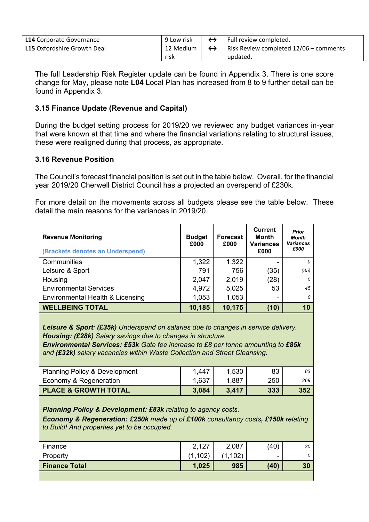| <b>L14</b> Corporate Governance | 9 Low risk | Full review completed.                 |
|---------------------------------|------------|----------------------------------------|
| L15 Oxfordshire Growth Deal     | 12 Medium  | Risk Review completed 12/06 - comments |
|                                 | risk       | updated.                               |

The full Leadership Risk Register update can be found in Appendix 3. There is one score change for May, please note **L04** Local Plan has increased from 8 to 9 further detail can be found in Appendix 3.

### **3.15 Finance Update (Revenue and Capital)**

During the budget setting process for 2019/20 we reviewed any budget variances in-year that were known at that time and where the financial variations relating to structural issues, these were realigned during that process, as appropriate.

#### **3.16 Revenue Position**

The Council's forecast financial position is set out in the table below. Overall, for the financial year 2019/20 Cherwell District Council has a projected an overspend of £230k.

For more detail on the movements across all budgets please see the table below. These detail the main reasons for the variances in 2019/20.

| <b>Revenue Monitoring</b><br>(Brackets denotes an Underspend) | <b>Budget</b><br>£000 | <b>Forecast</b><br>£000 | <b>Current</b><br><b>Month</b><br><b>Variances</b><br>£000 | <b>Prior</b><br><b>Month</b><br><b>Variances</b><br>£000 |
|---------------------------------------------------------------|-----------------------|-------------------------|------------------------------------------------------------|----------------------------------------------------------|
| Communities                                                   | 1,322                 | 1,322                   |                                                            | 0                                                        |
| Leisure & Sport                                               | 791                   | 756                     | (35)                                                       | (35)                                                     |
| Housing                                                       | 2,047                 | 2,019                   | (28)                                                       | 0                                                        |
| <b>Environmental Services</b>                                 | 4,972                 | 5,025                   | 53                                                         | 45                                                       |
| Environmental Health & Licensing                              | 1,053                 | 1,053                   | -                                                          | 0                                                        |
| <b>WELLBEING TOTAL</b>                                        | 10,185                | 10,175                  | (10)                                                       | 10                                                       |

*Leisure & Sport: (£35k) Underspend on salaries due to changes in service delivery. Housing: (£28k) Salary savings due to changes in structure.*

*Environmental Services: £53k Gate fee increase to £8 per tonne amounting to £85k and (£32k) salary vacancies within Waste Collection and Street Cleansing.*

| <b>Planning Policy &amp; Development</b> | 1,447 | 1,530 | 83  |     |
|------------------------------------------|-------|-------|-----|-----|
| Economy & Regeneration                   | 1,637 | 1,887 | 250 | 269 |
| <b>PLACE &amp; GROWTH TOTAL</b>          | 3,084 | 3.417 | 333 | 352 |

*Planning Policy & Development: £83k relating to agency costs.*

*Economy & Regeneration: £250k made up of £100k consultancy costs, £150k relating to Build! And properties yet to be occupied.*

| Finance       | 2,127 | 2,087 | (40) | 30 |
|---------------|-------|-------|------|----|
| Property      | 102   |       |      |    |
| Finance Total | 1,025 | 985   | (40) | 30 |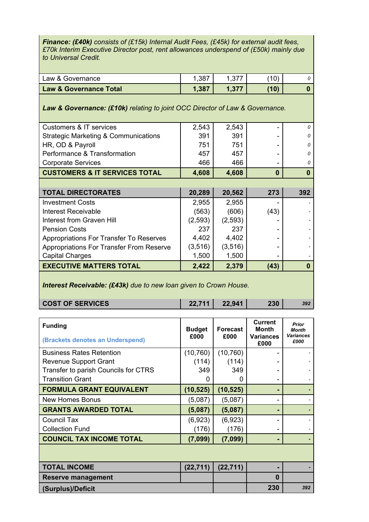*Finance: (£40k) consists of (£15k) Internal Audit Fees, (£45k) for external audit fees, £70k Interim Executive Director post, rent allowances underspend of (£50k) mainly due to Universal Credit.*

| <b>Law &amp; Governance Total</b> | 1,387   | (10) |  |
|-----------------------------------|---------|------|--|
| Law & Governance                  | ו טט. ו | 10)  |  |

#### *Law & Governance: (£10k) relating to joint OCC Director of Law & Governance.*

| <b>Customers &amp; IT services</b>              | 2,543    | 2,543    |          | $\Omega$ |
|-------------------------------------------------|----------|----------|----------|----------|
| <b>Strategic Marketing &amp; Communications</b> | 391      | 391      |          | $\Omega$ |
| HR, OD & Payroll                                | 751      | 751      |          | $\Omega$ |
| Performance & Transformation                    | 457      | 457      |          | $\Omega$ |
| <b>Corporate Services</b>                       | 466      | 466      |          | 0        |
| <b>CUSTOMERS &amp; IT SERVICES TOTAL</b>        | 4,608    | 4,608    | $\bf{0}$ | $\bf{0}$ |
|                                                 |          |          |          |          |
| <b>TOTAL DIRECTORATES</b>                       | 20,289   | 20,562   | 273      | 392      |
| <b>Investment Costs</b>                         | 2,955    | 2,955    |          |          |
| Interest Receivable                             | (563)    | (606)    | (43)     |          |
| Interest from Graven Hill                       | (2,593)  | (2,593)  |          |          |
| <b>Pension Costs</b>                            | 237      | 237      |          |          |
| Appropriations For Transfer To Reserves         | 4,402    | 4,402    |          |          |
| <b>Appropriations For Transfer From Reserve</b> | (3, 516) | (3, 516) |          |          |
| <b>Capital Charges</b>                          | 1,500    | 1,500    |          |          |
| <b>EXECUTIVE MATTERS TOTAL</b>                  | 2,422    | 2,379    | (43)     | 0        |
|                                                 |          |          |          |          |

*Interest Receivable: (£43k) due to new loan given to Crown House.*

| <b>COST OF SERVICES</b> | 22.711 | 22,941 | 230 |  |
|-------------------------|--------|--------|-----|--|
|-------------------------|--------|--------|-----|--|

| <b>Funding</b><br>(Brackets denotes an Underspend) | <b>Budget</b><br>£000 | <b>Forecast</b><br>£000 | <b>Current</b><br>Month<br><b>Variances</b><br>£000 | Prior<br><b>Month</b><br><b>Variances</b><br>£000 |
|----------------------------------------------------|-----------------------|-------------------------|-----------------------------------------------------|---------------------------------------------------|
| <b>Business Rates Retention</b>                    | (10, 760)             | (10, 760)               |                                                     |                                                   |
| <b>Revenue Support Grant</b>                       | (114)                 | (114)                   |                                                     |                                                   |
| Transfer to parish Councils for CTRS               | 349                   | 349                     |                                                     |                                                   |
| <b>Transition Grant</b>                            | 0                     | O                       |                                                     |                                                   |
| <b>FORMULA GRANT EQUIVALENT</b>                    | (10, 525)             | (10, 525)               |                                                     |                                                   |
| <b>New Homes Bonus</b>                             | (5,087)               | (5,087)                 |                                                     |                                                   |
| <b>GRANTS AWARDED TOTAL</b>                        | (5,087)               | (5,087)                 |                                                     |                                                   |
| <b>Council Tax</b>                                 | (6,923)               | (6,923)                 |                                                     |                                                   |
| <b>Collection Fund</b>                             | (176)                 | (176)                   |                                                     |                                                   |
| <b>COUNCIL TAX INCOME TOTAL</b>                    | (7,099)               | (7,099)                 |                                                     |                                                   |
|                                                    |                       |                         |                                                     |                                                   |
| <b>TOTAL INCOME</b>                                | (22, 711)             | (22, 711)               |                                                     |                                                   |
| Reserve management                                 |                       |                         | $\bf{0}$                                            |                                                   |
| (Surplus)/Deficit                                  |                       |                         | 230                                                 | 392                                               |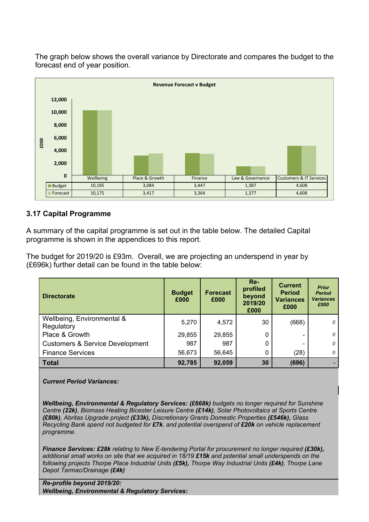The graph below shows the overall variance by Directorate and compares the budget to the forecast end of year position.



### **3.17 Capital Programme**

A summary of the capital programme is set out in the table below. The detailed Capital programme is shown in the appendices to this report.

The budget for 2019/20 is £93m. Overall, we are projecting an underspend in year by (£696k) further detail can be found in the table below:

| <b>Directorate</b>                         | <b>Budget</b><br>£000 | <b>Forecast</b><br>£000 | $Re-$<br>profiled<br>beyond<br>2019/20<br>£000 | <b>Current</b><br><b>Period</b><br><b>Variances</b><br>£000 | <b>Prior</b><br><b>Period</b><br><b>Variances</b><br>£000 |
|--------------------------------------------|-----------------------|-------------------------|------------------------------------------------|-------------------------------------------------------------|-----------------------------------------------------------|
| Wellbeing, Environmental &<br>Regulatory   | 5,270                 | 4,572                   | 30                                             | (668)                                                       | 0                                                         |
| Place & Growth                             | 29,855                | 29,855                  |                                                | $\equiv$                                                    | 0                                                         |
| <b>Customers &amp; Service Development</b> | 987                   | 987                     |                                                |                                                             | 0                                                         |
| <b>Finance Services</b>                    | 56,673                | 56,645                  |                                                | (28)                                                        | 0                                                         |
| <b>Total</b>                               | 92,785                | 92,059                  | 30                                             | (696)                                                       |                                                           |

*Current Period Variances:*

*Wellbeing, Environmental & Regulatory Services: (£668k) budgets no longer required for Sunshine Centre (22k), Biomass Heating Bicester Leisure Centre (£14k), Solar Photovoltaics at Sports Centre (£80k), Abritas Upgrade project (£33k), Discretionary Grants Domestic Properties (£546k), Glass Recycling Bank spend not budgeted for £7k, and potential overspend of £20k on vehicle replacement programme.*

*Finance Services: £28k relating to New E-tendering Portal for procurement no longer required (£30k), additional small works on site that we acquired in 18/19 £15k and potential small underspends on the following projects Thorpe Place Industrial Units (£5k), Thorpe Way Industrial Units (£4k), Thorpe Lane Depot Tarmac/Drainage (£4k)*

*Re-profile beyond 2019/20: Wellbeing, Environmental & Regulatory Services:*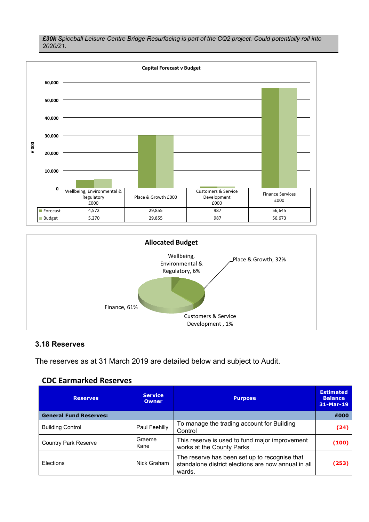*£30k Spiceball Leisure Centre Bridge Resurfacing is part of the CQ2 project. Could potentially roll into 2020/21.*





#### **3.18 Reserves**

The reserves as at 31 March 2019 are detailed below and subject to Audit.

#### **CDC Earmarked Reserves**

| <b>Reserves</b>               | <b>Service</b><br><b>Owner</b> | <b>Purpose</b>                                                                                                 | <b>Estimated</b><br><b>Balance</b><br>31-Mar-19 |
|-------------------------------|--------------------------------|----------------------------------------------------------------------------------------------------------------|-------------------------------------------------|
| <b>General Fund Reserves:</b> |                                |                                                                                                                | £000                                            |
| <b>Building Control</b>       | Paul Feehilly                  | To manage the trading account for Building<br>Control                                                          | (24)                                            |
| <b>Country Park Reserve</b>   | Graeme<br>Kane                 | This reserve is used to fund major improvement<br>works at the County Parks                                    | (100)                                           |
| Elections                     | Nick Graham                    | The reserve has been set up to recognise that<br>standalone district elections are now annual in all<br>wards. | (253)                                           |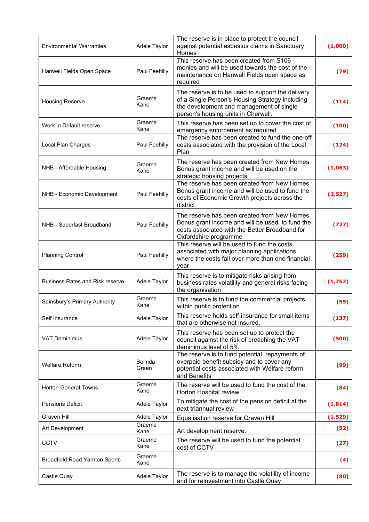| <b>Environmental Warranties</b>        | Adele Taylor     | The reserve is in place to protect the council<br>against potential asbestos claims in Sanctuary<br>Homes                                                                               | (1,000)  |
|----------------------------------------|------------------|-----------------------------------------------------------------------------------------------------------------------------------------------------------------------------------------|----------|
| Hanwell Fields Open Space              | Paul Feehilly    | This reserve has been created from S106<br>monies and will be used towards the cost of the<br>maintenance on Hanwell Fields open space as<br>required                                   | (79)     |
| <b>Housing Reserve</b>                 | Graeme<br>Kane   | The reserve is to be used to support the delivery<br>of a Single Person's Housing Strategy including<br>the development and management of single<br>person's housing units in Cherwell. | (114)    |
| Work in Default reserve                | Graeme<br>Kane   | This reserve has been set up to cover the cost of<br>emergency enforcement as required                                                                                                  | (100)    |
| Local Plan Charges                     | Paul Feehilly    | The reserve has been created to fund the one-off<br>costs associated with the provision of the Local<br>Plan                                                                            | (124)    |
| NHB - Affordable Housing               | Graeme<br>Kane   | The reserve has been created from New Homes<br>Bonus grant income and will be used on the<br>strategic housing projects                                                                 | (1,063)  |
| NHB - Economic Development             | Paul Feehilly    | The reserve has been created from New Homes<br>Bonus grant income and will be used to fund the<br>costs of Economic Growth projects across the<br>district                              | (2,527)  |
| NHB - Superfast Broadband              | Paul Feehilly    | The reserve has been created from New Homes<br>Bonus grant income and will be used to fund the<br>costs associated with the Better Broadband for<br>Oxfordshire programme               | (727)    |
| <b>Planning Control</b>                | Paul Feehilly    | This reserve will be used to fund the costs<br>associated with major planning applications<br>where the costs fall over more than one financial<br>year                                 | (259)    |
| <b>Business Rates and Risk reserve</b> | Adele Taylor     | This reserve is to mitigate risks arising from<br>business rates volatility and general risks facing<br>the organisation                                                                | (1,752)  |
| Sainsbury's Primary Authority          | Graeme<br>Kane   | This reserve is to fund the commercial projects<br>within public protection                                                                                                             | (55)     |
| Self Insurance                         | Adele Taylor     | This reserve holds self-insurance for small items<br>that are otherwise not insured.                                                                                                    | (137)    |
| <b>VAT Deminimus</b>                   | Adele Taylor     | This reserve has been set up to protect the<br>council against the risk of breaching the VAT<br>deminimus level of 5%                                                                   | (500)    |
| <b>Welfare Reform</b>                  | Belinda<br>Green | The reserve is to fund potential repayments of<br>overpaid benefit subsidy and to cover any<br>potential costs associated with Welfare reform<br>and Benefits                           | (99)     |
| <b>Horton General Towns</b>            | Graeme<br>Kane   | The reserve will be used to fund the cost of the<br>Horton Hospital review                                                                                                              | (84)     |
| <b>Pensions Deficit</b>                | Adele Taylor     | To mitigate the cost of the pension deficit at the<br>next triannual review                                                                                                             | (1, 814) |
| Graven Hill                            | Adele Taylor     | Equalisation reserve for Graven Hill                                                                                                                                                    | (1,529)  |
| Art Development                        | Graeme<br>Kane   | Art development reserve.                                                                                                                                                                | (52)     |
| <b>CCTV</b>                            | Graeme<br>Kane   | The reserve will be used to fund the potential<br>cost of CCTV                                                                                                                          | (27)     |
| <b>Broadfield Road Yarnton Sports</b>  | Graeme<br>Kane   |                                                                                                                                                                                         | (4)      |
| Castle Quay                            | Adele Taylor     | The reserve is to manage the volatility of income<br>and for reinvestment into Castle Quay                                                                                              | (80)     |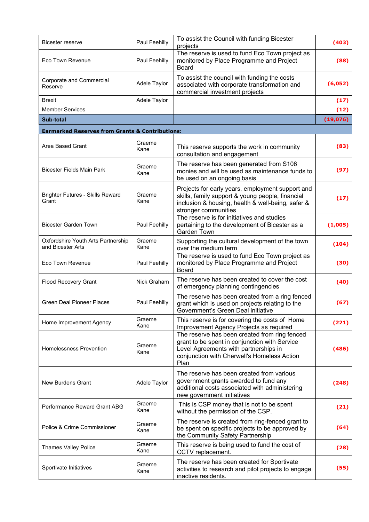| Bicester reserve                                           | Paul Feehilly  | To assist the Council with funding Bicester<br>projects                                                                                                                                        | (403)     |
|------------------------------------------------------------|----------------|------------------------------------------------------------------------------------------------------------------------------------------------------------------------------------------------|-----------|
| Eco Town Revenue                                           | Paul Feehilly  | The reserve is used to fund Eco Town project as<br>monitored by Place Programme and Project<br><b>Board</b>                                                                                    | (88)      |
| Corporate and Commercial<br>Reserve                        | Adele Taylor   | To assist the council with funding the costs<br>associated with corporate transformation and<br>commercial investment projects                                                                 | (6,052)   |
| Brexit                                                     | Adele Taylor   |                                                                                                                                                                                                | (17)      |
| <b>Member Services</b>                                     |                |                                                                                                                                                                                                | (12)      |
| Sub-total                                                  |                |                                                                                                                                                                                                | (19, 076) |
| <b>Earmarked Reserves from Grants &amp; Contributions:</b> |                |                                                                                                                                                                                                |           |
| <b>Area Based Grant</b>                                    | Graeme<br>Kane | This reserve supports the work in community<br>consultation and engagement                                                                                                                     | (83)      |
| <b>Bicester Fields Main Park</b>                           | Graeme<br>Kane | The reserve has been generated from S106<br>monies and will be used as maintenance funds to<br>be used on an ongoing basis                                                                     | (97)      |
| <b>Brighter Futures - Skills Reward</b><br>Grant           | Graeme<br>Kane | Projects for early years, employment support and<br>skills, family support & young people, financial<br>inclusion & housing, health & well-being, safer &<br>stronger communities              | (17)      |
| <b>Bicester Garden Town</b>                                | Paul Feehilly  | The reserve is for initiatives and studies<br>pertaining to the development of Bicester as a<br>Garden Town                                                                                    | (1,005)   |
| Oxfordshire Youth Arts Partnership<br>and Bicester Arts    | Graeme<br>Kane | Supporting the cultural development of the town<br>over the medium term                                                                                                                        | (104)     |
| <b>Eco Town Revenue</b>                                    | Paul Feehilly  | The reserve is used to fund Eco Town project as<br>monitored by Place Programme and Project<br>Board                                                                                           | (30)      |
| <b>Flood Recovery Grant</b>                                | Nick Graham    | The reserve has been created to cover the cost<br>of emergency planning contingencies                                                                                                          | (40)      |
| <b>Green Deal Pioneer Places</b>                           | Paul Feehilly  | The reserve has been created from a ring fenced<br>grant which is used on projects relating to the<br>Government's Green Deal initiative                                                       | (67)      |
| Home Improvement Agency                                    | Graeme<br>Kane | This reserve is for covering the costs of Home<br>Improvement Agency Projects as required                                                                                                      | (221)     |
| Homelessness Prevention                                    | Graeme<br>Kane | The reserve has been created from ring fenced<br>grant to be spent in conjunction with Service<br>Level Agreements with partnerships in<br>conjunction with Cherwell's Homeless Action<br>Plan | (486)     |
| New Burdens Grant                                          | Adele Taylor   | The reserve has been created from various<br>government grants awarded to fund any<br>additional costs associated with administering<br>new government initiatives                             | (248)     |
| Performance Reward Grant ABG                               | Graeme<br>Kane | This is CSP money that is not to be spent<br>without the permission of the CSP.                                                                                                                | (21)      |
| Police & Crime Commissioner                                | Graeme<br>Kane | The reserve is created from ring-fenced grant to<br>be spent on specific projects to be approved by<br>the Community Safety Partnership                                                        | (64)      |
| <b>Thames Valley Police</b>                                | Graeme<br>Kane | This reserve is being used to fund the cost of<br>CCTV replacement.                                                                                                                            | (28)      |
| Sportivate Initiatives                                     | Graeme<br>Kane | The reserve has been created for Sportivate<br>activities to research and pilot projects to engage<br>inactive residents.                                                                      | (55)      |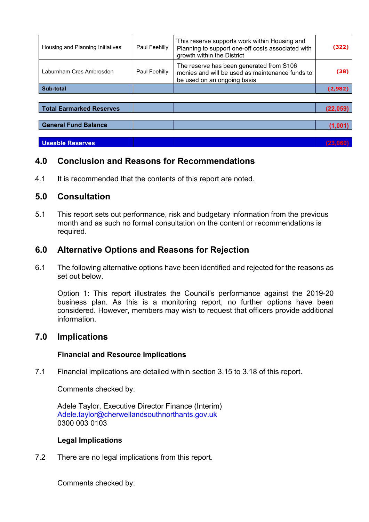| Housing and Planning Initiatives | Paul Feehilly | This reserve supports work within Housing and<br>Planning to support one-off costs associated with<br>growth within the District | (322)    |
|----------------------------------|---------------|----------------------------------------------------------------------------------------------------------------------------------|----------|
| Laburnham Cres Ambrosden         | Paul Feehilly | The reserve has been generated from S106<br>monies and will be used as maintenance funds to<br>be used on an ongoing basis       | (38)     |
| Sub-total                        |               |                                                                                                                                  | (2,982)  |
|                                  |               |                                                                                                                                  |          |
| <b>Total Earmarked Reserves</b>  |               |                                                                                                                                  | (22.059) |
|                                  |               |                                                                                                                                  |          |
| <b>General Fund Balance</b>      |               |                                                                                                                                  |          |

**Useable Reserves (23,06) (23,06) (23,06) (23,06)** 

# **4.0 Conclusion and Reasons for Recommendations**

4.1 It is recommended that the contents of this report are noted.

### **5.0 Consultation**

5.1 This report sets out performance, risk and budgetary information from the previous month and as such no formal consultation on the content or recommendations is required.

# **6.0 Alternative Options and Reasons for Rejection**

6.1 The following alternative options have been identified and rejected for the reasons as set out below.

Option 1: This report illustrates the Council's performance against the 2019-20 business plan. As this is a monitoring report, no further options have been considered. However, members may wish to request that officers provide additional information.

### **7.0 Implications**

#### **Financial and Resource Implications**

7.1 Financial implications are detailed within section 3.15 to 3.18 of this report.

Comments checked by:

Adele Taylor, Executive Director Finance (Interim) [Adele.taylor@cherwellandsouthnorthants.gov.uk](mailto:Adele.taylor@cherwellandsouthnorthants.gov.uk) 0300 003 0103

#### **Legal Implications**

7.2 There are no legal implications from this report.

Comments checked by: